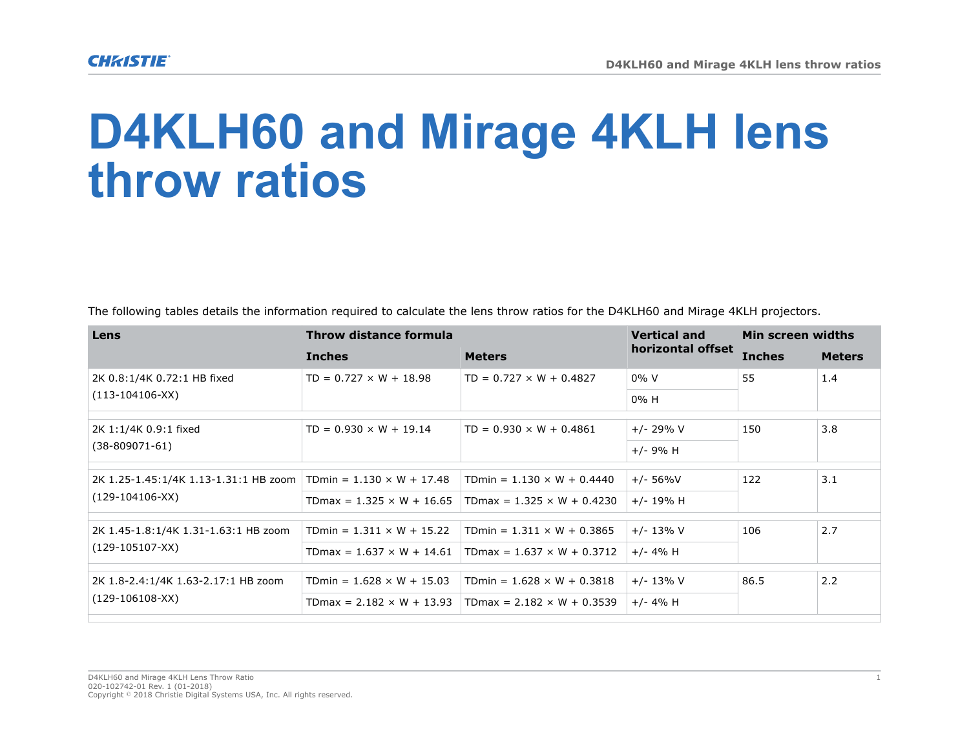## **D4KLH60 and Mirage 4KLH lens throw ratios**

The following tables details the information required to calculate the lens throw ratios for the D4KLH60 and Mirage 4KLH projectors.

| Lens                                                       | Throw distance formula           |                                   | <b>Vertical and</b> | Min screen widths |               |  |  |
|------------------------------------------------------------|----------------------------------|-----------------------------------|---------------------|-------------------|---------------|--|--|
|                                                            | <b>Inches</b>                    | <b>Meters</b>                     | horizontal offset   | <b>Inches</b>     | <b>Meters</b> |  |  |
| 2K 0.8:1/4K 0.72:1 HB fixed<br>$(113-104106-XX)$           | $TD = 0.727 \times W + 18.98$    | $TD = 0.727 \times W + 0.4827$    | $0\%$ V             | 55                | 1.4           |  |  |
|                                                            |                                  |                                   | $0\%$ H             |                   |               |  |  |
| 2K 1:1/4K 0.9:1 fixed<br>$(38 - 809071 - 61)$              | $TD = 0.930 \times W + 19.14$    | $TD = 0.930 \times W + 0.4861$    | $+/- 29\% V$        | 150               | 3.8           |  |  |
|                                                            |                                  |                                   | $+/- 9% H$          |                   |               |  |  |
| 2K 1.25-1.45:1/4K 1.13-1.31:1 HB zoom<br>$(129-104106-XX)$ | TDmin = $1.130 \times W + 17.48$ | TDmin = $1.130 \times W + 0.4440$ | $+/- 56\%V$         | 122               | 3.1           |  |  |
|                                                            | TDmax = $1.325 \times W + 16.65$ | TDmax = $1.325 \times W + 0.4230$ | $+/- 19% H$         |                   |               |  |  |
|                                                            |                                  |                                   |                     |                   |               |  |  |
| 2K 1.45-1.8:1/4K 1.31-1.63:1 HB zoom<br>$(129-105107-XX)$  | TDmin = $1.311 \times W + 15.22$ | TDmin = $1.311 \times W + 0.3865$ | $+/- 13\% V$        | 106               | 2.7           |  |  |
|                                                            | $TDmax = 1.637 \times W + 14.61$ | TDmax = $1.637 \times W + 0.3712$ | $+/- 4\% H$         |                   |               |  |  |
|                                                            |                                  |                                   |                     | 86.5              | 2.2           |  |  |
| 2K 1.8-2.4:1/4K 1.63-2.17:1 HB zoom<br>$(129-106108-XX)$   | TDmin = $1.628 \times W + 15.03$ | TDmin = $1.628 \times W + 0.3818$ | $+/- 13\% V$        |                   |               |  |  |
|                                                            | $TDmax = 2.182 \times W + 13.93$ | TDmax = $2.182 \times W + 0.3539$ | $+/- 4% H$          |                   |               |  |  |
|                                                            |                                  |                                   |                     |                   |               |  |  |